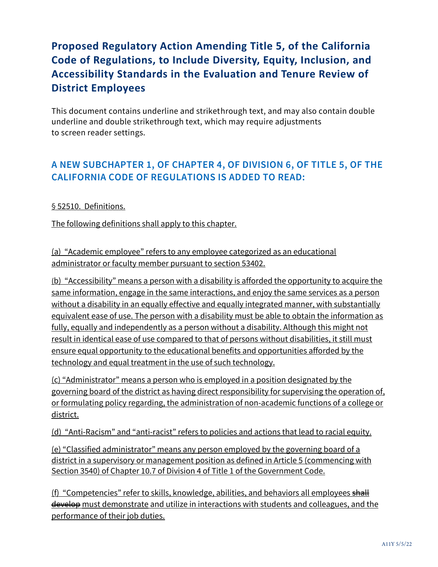# **Proposed Regulatory Action Amending Title 5, of the California Code of Regulations, to Include Diversity, Equity, Inclusion, and Accessibility Standards in the Evaluation and Tenure Review of District Employees**

This document contains underline and strikethrough text, and may also contain double underline and double strikethrough text, which may require adjustments to screen reader settings.

## **A NEW SUBCHAPTER 1, OF CHAPTER 4, OF DIVISION 6, OF TITLE 5, OF THE CALIFORNIA CODE OF REGULATIONS IS ADDED TO READ:**

#### § 52510. Definitions.

The following definitions shall apply to this chapter.

(a) "Academic employee" refers to any employee categorized as an educational administrator or faculty member pursuant to section 53402.

(b) "Accessibility" means a person with a disability is afforded the opportunity to acquire the same information, engage in the same interactions, and enjoy the same services as a person without a disability in an equally effective and equally integrated manner, with substantially equivalent ease of use. The person with a disability must be able to obtain the information as fully, equally and independently as a person without a disability. Although this might not result in identical ease of use compared to that of persons without disabilities, it still must ensure equal opportunity to the educational benefits and opportunities afforded by the technology and equal treatment in the use of such technology.

(c) "Administrator" means a person who is employed in a position designated by the governing board of the district as having direct responsibility for supervising the operation of, or formulating policy regarding, the administration of non-academic functions of a college or district.

(d) "Anti-Racism" and "anti-racist" refers to policies and actions that lead to racial equity.

(e) "Classified administrator" means any person employed by the governing board of a district in a supervisory or management position as defined in Article 5 (commencing with Section 3540) of Chapter 10.7 of Division 4 of Title 1 of the Government Code.

(f) "Competencies" refer to skills, knowledge, abilities, and behaviors all employees shall develop must demonstrate and utilize in interactions with students and colleagues, and the performance of their job duties.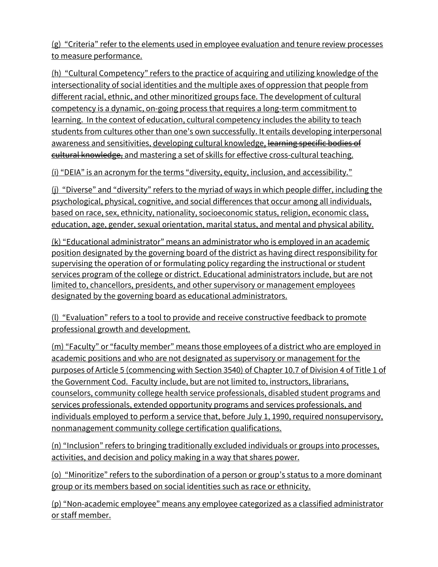(g) "Criteria" refer to the elements used in employee evaluation and tenure review processes to measure performance.

(h) "Cultural Competency" refers to the practice of acquiring and utilizing knowledge of the intersectionality of social identities and the multiple axes of oppression that people from different racial, ethnic, and other minoritized groups face. The development of cultural competency is a dynamic, on-going process that requires a long-term commitment to learning. In the context of education, cultural competency includes the ability to teach students from cultures other than one's own successfully. It entails developing interpersonal awareness and sensitivities, developing cultural knowledge, learning specific bodies of cultural knowledge, and mastering a set of skills for effective cross-cultural teaching.

(i) "DEIA" is an acronym for the terms "diversity, equity, inclusion, and accessibility."

(j) "Diverse" and "diversity" refers to the myriad of ways in which people differ, including the psychological, physical, cognitive, and social differences that occur among all individuals, based on race, sex, ethnicity, nationality, socioeconomic status, religion, economic class, education, age, gender, sexual orientation, marital status, and mental and physical ability.

(k) "Educational administrator" means an administrator who is employed in an academic position designated by the governing board of the district as having direct responsibility for supervising the operation of or formulating policy regarding the instructional or student services program of the college or district. Educational administrators include, but are not limited to, chancellors, presidents, and other supervisory or management employees designated by the governing board as educational administrators.

(l) "Evaluation" refers to a tool to provide and receive constructive feedback to promote professional growth and development.

(m) "Faculty" or "faculty member" means those employees of a district who are employed in academic positions and who are not designated as supervisory or management for the purposes of Article 5 (commencing with Section 3540) of Chapter 10.7 of Division 4 of Title 1 of the Government Cod. Faculty include, but are not limited to, instructors, librarians, counselors, community college health service professionals, disabled student programs and services professionals, extended opportunity programs and services professionals, and individuals employed to perform a service that, before July 1, 1990, required nonsupervisory, nonmanagement community college certification qualifications.

(n) "Inclusion" refers to bringing traditionally excluded individuals or groups into processes, activities, and decision and policy making in a way that shares power.

(o) "Minoritize" refers to the subordination of a person or group's status to a more dominant group or its members based on social identities such as race or ethnicity.

(p) "Non-academic employee" means any employee categorized as a classified administrator or staff member.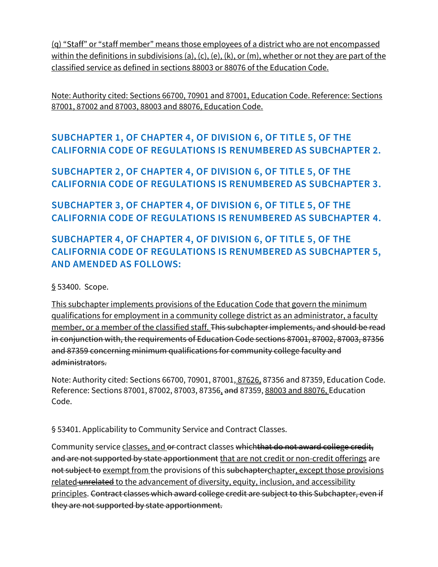(q) "Staff" or "staff member" means those employees of a district who are not encompassed within the definitions in subdivisions (a), (c), (e), (k), or (m), whether or not they are part of the classified service as defined in sections 88003 or 88076 of the Education Code.

Note: Authority cited: Sections 66700, 70901 and 87001, Education Code. Reference: Sections 87001, 87002 and 87003, 88003 and 88076, Education Code.

# **SUBCHAPTER 1, OF CHAPTER 4, OF DIVISION 6, OF TITLE 5, OF THE CALIFORNIA CODE OF REGULATIONS IS RENUMBERED AS SUBCHAPTER 2.**

**SUBCHAPTER 2, OF CHAPTER 4, OF DIVISION 6, OF TITLE 5, OF THE CALIFORNIA CODE OF REGULATIONS IS RENUMBERED AS SUBCHAPTER 3.**

**SUBCHAPTER 3, OF CHAPTER 4, OF DIVISION 6, OF TITLE 5, OF THE CALIFORNIA CODE OF REGULATIONS IS RENUMBERED AS SUBCHAPTER 4.**

# **SUBCHAPTER 4, OF CHAPTER 4, OF DIVISION 6, OF TITLE 5, OF THE CALIFORNIA CODE OF REGULATIONS IS RENUMBERED AS SUBCHAPTER 5, AND AMENDED AS FOLLOWS:**

§ 53400. Scope.

This subchapter implements provisions of the Education Code that govern the minimum qualifications for employment in a community college district as an administrator, a faculty member, or a member of the classified staff. This subchapter implements, and should be read in conjunction with, the requirements of Education Code sections 87001, 87002, 87003, 87356 and 87359 concerning minimum qualifications for community college faculty and administrators.

Note: Authority cited: Sections 66700, 70901, 87001, 87626, 87356 and 87359, Education Code. Reference: Sections 87001, 87002, 87003, 87356, and 87359, 88003 and 88076, Education Code.

§ 53401. Applicability to Community Service and Contract Classes.

Community service classes, and or contract classes which that do not award college credit, and are not supported by state apportionment that are not credit or non-credit offerings are not subject to exempt from the provisions of this subchapterchapter, except those provisions related unrelated to the advancement of diversity, equity, inclusion, and accessibility principles. Contract classes which award college credit are subject to this Subchapter, even if they are not supported by state apportionment.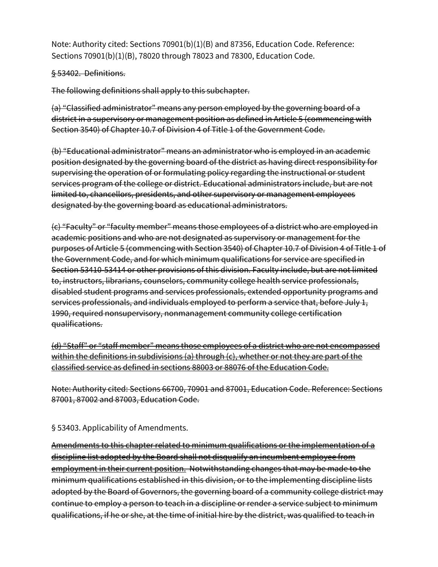Note: Authority cited: Sections 70901(b)(1)(B) and 87356, Education Code. Reference: Sections 70901(b)(1)(B), 78020 through 78023 and 78300, Education Code.

#### § 53402. Definitions.

The following definitions shall apply to this subchapter.

(a) "Classified administrator" means any person employed by the governing board of a district in a supervisory or management position as defined in Article 5 (commencing with Section 3540) of Chapter 10.7 of Division 4 of Title 1 of the Government Code.

(b) "Educational administrator" means an administrator who is employed in an academic position designated by the governing board of the district as having direct responsibility for supervising the operation of or formulating policy regarding the instructional or student services program of the college or district. Educational administrators include, but are not limited to, chancellors, presidents, and other supervisory or management employees designated by the governing board as educational administrators.

(c) "Faculty" or "faculty member" means those employees of a district who are employed in academic positions and who are not designated as supervisory or management for the purposes of Article 5 (commencing with Section 3540) of Chapter 10.7 of Division 4 of Title 1 of the Government Code, and for which minimum qualifications for service are specified in Section 53410-53414 or other provisions of this division. Faculty include, but are not limited to, instructors, librarians, counselors, community college health service professionals, disabled student programs and services professionals, extended opportunity programs and services professionals, and individuals employed to perform a service that, before July 1, 1990, required nonsupervisory, nonmanagement community college certification qualifications.

(d) "Staff" or "staff member" means those employees of a district who are not encompassed within the definitions in subdivisions (a) through (c), whether or not they are part of the classified service as defined in sections 88003 or 88076 of the Education Code.

Note: Authority cited: Sections 66700, 70901 and 87001, Education Code. Reference: Sections 87001, 87002 and 87003, Education Code.

§ 53403. Applicability of Amendments.

Amendments to this chapter related to minimum qualifications or the implementation of a discipline list adopted by the Board shall not disqualify an incumbent employee from employment in their current position. Notwithstanding changes that may be made to the minimum qualifications established in this division, or to the implementing discipline lists adopted by the Board of Governors, the governing board of a community college district may continue to employ a person to teach in a discipline or render a service subject to minimum qualifications, if he or she, at the time of initial hire by the district, was qualified to teach in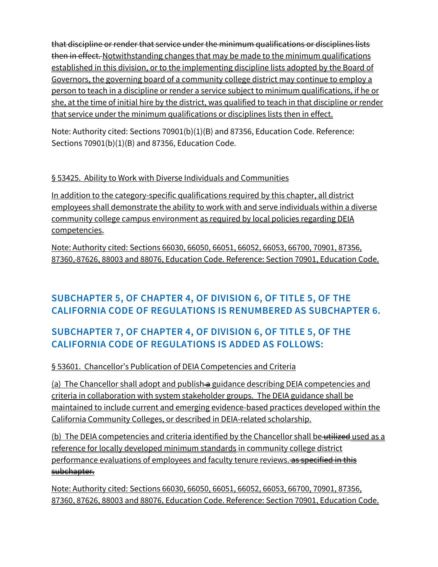that discipline or render that service under the minimum qualifications or disciplines lists then in effect. Notwithstanding changes that may be made to the minimum qualifications established in this division, or to the implementing discipline lists adopted by the Board of Governors, the governing board of a community college district may continue to employ a person to teach in a discipline or render a service subject to minimum qualifications, if he or she, at the time of initial hire by the district, was qualified to teach in that discipline or render that service under the minimum qualifications or disciplines lists then in effect.

Note: Authority cited: Sections 70901(b)(1)(B) and 87356, Education Code. Reference: Sections 70901(b)(1)(B) and 87356, Education Code.

### § 53425. Ability to Work with Diverse Individuals and Communities

In addition to the category-specific qualifications required by this chapter, all district employees shall demonstrate the ability to work with and serve individuals within a diverse community college campus environment as required by local policies regarding DEIA competencies.

Note: Authority cited: Sections 66030, 66050, 66051, 66052, 66053, 66700, 70901, 87356, 87360, 87626, 88003 and 88076, Education Code. Reference: Section 70901, Education Code.

# **SUBCHAPTER 5, OF CHAPTER 4, OF DIVISION 6, OF TITLE 5, OF THE CALIFORNIA CODE OF REGULATIONS IS RENUMBERED AS SUBCHAPTER 6.**

# **SUBCHAPTER 7, OF CHAPTER 4, OF DIVISION 6, OF TITLE 5, OF THE CALIFORNIA CODE OF REGULATIONS IS ADDED AS FOLLOWS:**

### § 53601. Chancellor's Publication of DEIA Competencies and Criteria

(a) The Chancellor shall adopt and publish a guidance describing DEIA competencies and criteria in collaboration with system stakeholder groups. The DEIA guidance shall be maintained to include current and emerging evidence-based practices developed within the California Community Colleges, or described in DEIA-related scholarship.

(b) The DEIA competencies and criteria identified by the Chancellor shall be utilized used as a reference for locally developed minimum standards in community college district performance evaluations of employees and faculty tenure reviews. as specified in this subchapter.

Note: Authority cited: Sections 66030, 66050, 66051, 66052, 66053, 66700, 70901, 87356, 87360, 87626, 88003 and 88076, Education Code. Reference: Section 70901, Education Code.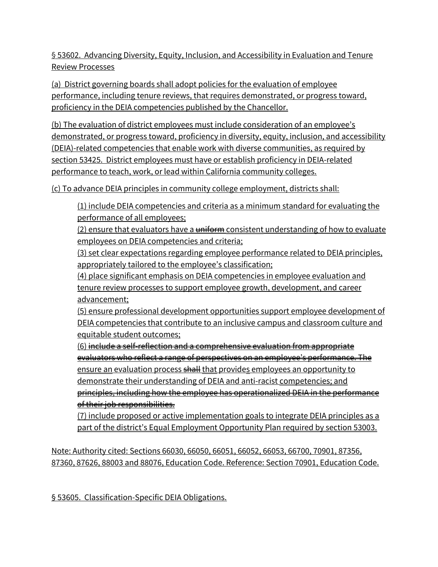§ 53602. Advancing Diversity, Equity, Inclusion, and Accessibility in Evaluation and Tenure Review Processes

(a) District governing boards shall adopt policies for the evaluation of employee performance, including tenure reviews, that requires demonstrated, or progress toward, proficiency in the DEIA competencies published by the Chancellor.

(b) The evaluation of district employees must include consideration of an employee's demonstrated, or progress toward, proficiency in diversity, equity, inclusion, and accessibility (DEIA)-related competencies that enable work with diverse communities, as required by section 53425. District employees must have or establish proficiency in DEIA-related performance to teach, work, or lead within California community colleges.

(c) To advance DEIA principles in community college employment, districts shall:

(1) include DEIA competencies and criteria as a minimum standard for evaluating the performance of all employees;

 $(2)$  ensure that evaluators have a  $\frac{1}{2}$  uniform consistent understanding of how to evaluate employees on DEIA competencies and criteria;

(3) set clear expectations regarding employee performance related to DEIA principles, appropriately tailored to the employee's classification;

(4) place significant emphasis on DEIA competencies in employee evaluation and tenure review processes to support employee growth, development, and career advancement;

(5) ensure professional development opportunities support employee development of DEIA competencies that contribute to an inclusive campus and classroom culture and equitable student outcomes;

(6) include a self-reflection and a comprehensive evaluation from appropriate evaluators who reflect a range of perspectives on an employee's performance. The ensure an evaluation process shall that provides employees an opportunity to demonstrate their understanding of DEIA and anti-racist competencies; and principles, including how the employee has operationalized DEIA in the performance of their job responsibilities.

(7) include proposed or active implementation goals to integrate DEIA principles as a part of the district's Equal Employment Opportunity Plan required by section 53003.

Note: Authority cited: Sections 66030, 66050, 66051, 66052, 66053, 66700, 70901, 87356, 87360, 87626, 88003 and 88076, Education Code. Reference: Section 70901, Education Code.

§ 53605. Classification-Specific DEIA Obligations.